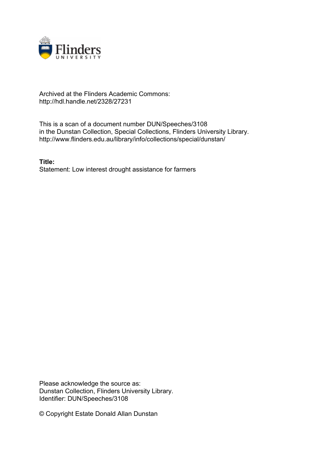

## Archived at the Flinders Academic Commons: http://hdl.handle.net/2328/27231

This is a scan of a document number DUN/Speeches/3108 in the Dunstan Collection, Special Collections, Flinders University Library. http://www.flinders.edu.au/library/info/collections/special/dunstan/

**Title:** Statement: Low interest drought assistance for farmers

Please acknowledge the source as: Dunstan Collection, Flinders University Library. Identifier: DUN/Speeches/3108

© Copyright Estate Donald Allan Dunstan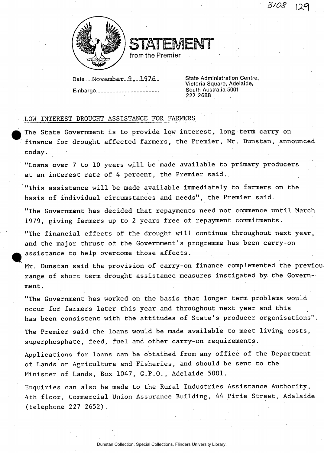3108



STATEMENT

from the Premier

Date November...9.<sub>T</sub>...1976... State Administration Centre, **Embargo South Australia 5001** 

**Victoria Square, Adelaide, 227 2688** 

## LOW INTEREST DROUGHT ASSISTANCE FOR FARMERS

The State Government is to provide low interest, long term carry on finance for drought affected farmers, the Premier, Mr. Dunstan, announced today.

"Loans over 7 to 10 years will be made available to primary producers at an interest rate of 4 percent, the Premier said.

"This assistance will be made available immediately to farmers on the basis of individual circumstances and needs", the Premier said.

"The Government has decided that repayments need not commence until March 1979, giving farmers up to 2 years free of repayment commitments.

"The financial effects of the drought will continue throughout next year, and the major thrust of the Government's programme has been carry-on assistance to help overcome those affects.

Mr. Dunstan said the provision of carry-on finance complemented the previou range of short term drought assistance measures instigated by the Government .

"The Government has worked on the basis that longer term problems would occur for farmers later this year and throughout next year and this has been consistent with the attitudes of State's producer organisations".

The Premier said the loans would be made available to meet living costs, superphosphate, feed, fuel and other carry-on requirements.

Applications for loans can be obtained from any office of the Department of Lands or Agriculture and Fisheries, and should be sent to the Minister of Lands, Box 1047, G.P.O., Adelaide 5001.

Enquiries can also be made to the Rural Industries Assistance Authority, 4th floor, Commercial Union Assurance Building, 44 Pirie Street, Adelaide (telephone 227 2652).